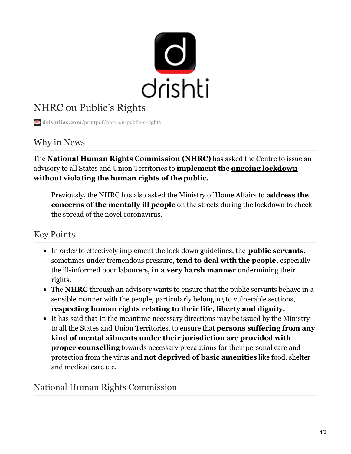

# NHRC on Public's Rights

**drishtiias.com**[/printpdf/nhrc-on-public-s-rights](https://www.drishtiias.com/printpdf/nhrc-on-public-s-rights)

### Why in News

The **National Human Rights [Commission](https://www.drishtiias.com/daily-updates/daily-news-editorials/giving-more-tooth-to-human-rights-commissionshttps:/www.drishtiias.com/daily-updates/daily-news-editorials/giving-more-tooth-to-human-rights-commissions) (NHRC)** has asked the Centre to issue an advisory to all States and Union Territories to **implement the ongoing [lockdown](https://www.drishtiias.com/daily-updates/daily-news-analysis/lockdown-extended) without violating the human rights of the public.**

Previously, the NHRC has also asked the Ministry of Home Affairs to **address the concerns of the mentally ill people** on the streets during the lockdown to check the spread of the novel coronavirus.

## Key Points

- In order to effectively implement the lock down guidelines, the **public servants,** sometimes under tremendous pressure, **tend to deal with the people,** especially the ill-informed poor labourers, **in a very harsh manner** undermining their rights.
- The **NHRC** through an advisory wants to ensure that the public servants behave in a sensible manner with the people, particularly belonging to vulnerable sections, **respecting human rights relating to their life, liberty and dignity.**
- It has said that In the meantime necessary directions may be issued by the Ministry to all the States and Union Territories, to ensure that **persons suffering from any kind of mental ailments under their jurisdiction are provided with proper counselling** towards necessary precautions for their personal care and protection from the virus and **not deprived of basic amenities** like food, shelter and medical care etc.

### National Human Rights Commission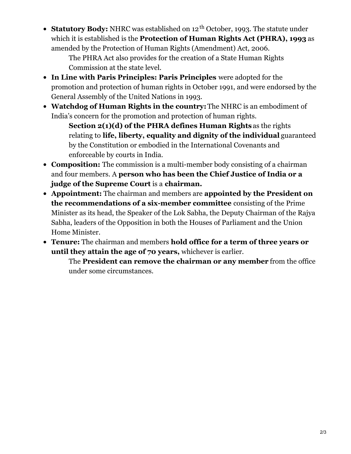**Statutory Body:** NHRC was established on 12  $^{\text{th}}$  October, 1993. The statute under which it is established is the **Protection of Human Rights Act (PHRA), 1993** as amended by the Protection of Human Rights (Amendment) Act, 2006.

The PHRA Act also provides for the creation of a State Human Rights Commission at the state level.

- **In Line with Paris Principles: Paris Principles** were adopted for the promotion and protection of human rights in October 1991, and were endorsed by the General Assembly of the United Nations in 1993.
- **Watchdog of Human Rights in the country:**The NHRC is an embodiment of India's concern for the promotion and protection of human rights.

**Section 2(1)(d) of the PHRA defines Human Rights** as the rights relating to **life, liberty, equality and dignity of the individual** guaranteed by the Constitution or embodied in the International Covenants and enforceable by courts in India.

- **Composition:** The commission is a multi-member body consisting of a chairman and four members. A **person who has been the Chief Justice of India or a judge of the Supreme Court** is a **chairman.**
- **Appointment:** The chairman and members are **appointed by the President on the recommendations of a six-member committee** consisting of the Prime Minister as its head, the Speaker of the Lok Sabha, the Deputy Chairman of the Rajya Sabha, leaders of the Opposition in both the Houses of Parliament and the Union Home Minister.
- **Tenure:** The chairman and members **hold office for a term of three years or until they attain the age of 70 years,** whichever is earlier.

The **President can remove the chairman or any member** from the office under some circumstances.